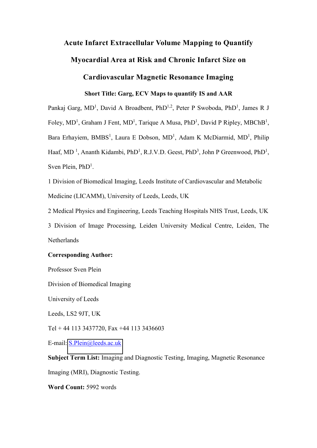# **Acute Infarct Extracellular Volume Mapping to Quantify**

# **Myocardial Area at Risk and Chronic Infarct Size on**

## **Cardiovascular Magnetic Resonance Imaging**

## **Short Title: Garg, ECV Maps to quantify IS and AAR**

Pankaj Garg, MD<sup>1</sup>, David A Broadbent, PhD<sup>1,2</sup>, Peter P Swoboda, PhD<sup>1</sup>, James R J Foley, MD<sup>1</sup>, Graham J Fent, MD<sup>1</sup>, Tarique A Musa, PhD<sup>1</sup>, David P Ripley, MBChB<sup>1</sup>, Bara Erhayiem, BMBS<sup>1</sup>, Laura E Dobson, MD<sup>1</sup>, Adam K McDiarmid, MD<sup>1</sup>, Philip Haaf, MD<sup>1</sup>, Ananth Kidambi, PhD<sup>1</sup>, R.J.V.D. Geest, PhD<sup>3</sup>, John P Greenwood, PhD<sup>1</sup>, Sven Plein, PhD<sup>1</sup>.

1 Division of Biomedical Imaging, Leeds Institute of Cardiovascular and Metabolic Medicine (LICAMM), University of Leeds, Leeds, UK

2 Medical Physics and Engineering, Leeds Teaching Hospitals NHS Trust, Leeds, UK 3 Division of Image Processing, Leiden University Medical Centre, Leiden, The

Netherlands

### **Corresponding Author:**

Professor Sven Plein

Division of Biomedical Imaging

University of Leeds

Leeds, LS2 9JT, UK

Tel + 44 113 3437720, Fax +44 113 3436603

E-mail: [S.Plein@leeds.ac.uk](mailto:S.Plein@leeds.ac.uk)

**Subject Term List:** Imaging and Diagnostic Testing, Imaging, Magnetic Resonance

Imaging (MRI), Diagnostic Testing.

**Word Count:** 5992 words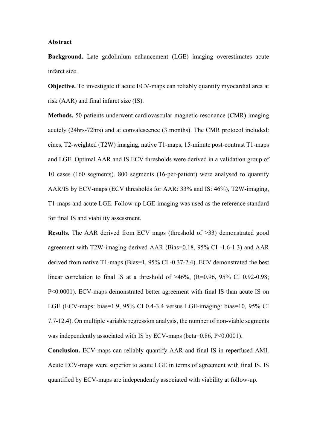#### **Abstract**

**Background.** Late gadolinium enhancement (LGE) imaging overestimates acute infarct size.

**Objective.** To investigate if acute ECV-maps can reliably quantify myocardial area at risk (AAR) and final infarct size (IS).

**Methods.** 50 patients underwent cardiovascular magnetic resonance (CMR) imaging acutely (24hrs-72hrs) and at convalescence (3 months). The CMR protocol included: cines, T2-weighted (T2W) imaging, native T1-maps, 15-minute post-contrast T1-maps and LGE. Optimal AAR and IS ECV thresholds were derived in a validation group of 10 cases (160 segments). 800 segments (16-per-patient) were analysed to quantify AAR/IS by ECV-maps (ECV thresholds for AAR: 33% and IS: 46%), T2W-imaging, T1-maps and acute LGE. Follow-up LGE-imaging was used as the reference standard for final IS and viability assessment.

**Results.** The AAR derived from ECV maps (threshold of >33) demonstrated good agreement with T2W-imaging derived AAR (Bias=0.18, 95% CI -1.6-1.3) and AAR derived from native T1-maps (Bias=1, 95% CI -0.37-2.4). ECV demonstrated the best linear correlation to final IS at a threshold of  $>46\%$ , (R=0.96, 95% CI 0.92-0.98; P<0.0001). ECV-maps demonstrated better agreement with final IS than acute IS on LGE (ECV-maps: bias=1.9, 95% CI 0.4-3.4 versus LGE-imaging: bias=10, 95% CI 7.7-12.4). On multiple variable regression analysis, the number of non-viable segments was independently associated with IS by ECV-maps (beta=0.86, P<0.0001).

**Conclusion.** ECV-maps can reliably quantify AAR and final IS in reperfused AMI. Acute ECV-maps were superior to acute LGE in terms of agreement with final IS. IS quantified by ECV-maps are independently associated with viability at follow-up.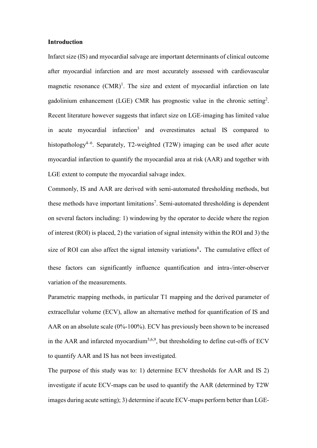#### **Introduction**

Infarct size (IS) and myocardial salvage are important determinants of clinical outcome after myocardial infarction and are most accurately assessed with cardiovascular magnetic resonance  $(CMR)^1$ . The size and extent of myocardial infarction on late gadolinium enhancement (LGE) CMR has prognostic value in the chronic setting<sup>2</sup>. Recent literature however suggests that infarct size on LGE-imaging has limited value in acute myocardial infarction<sup>3</sup> and overestimates actual IS compared to histopathology<sup>4–6</sup>. Separately, T2-weighted (T2W) imaging can be used after acute myocardial infarction to quantify the myocardial area at risk (AAR) and together with LGE extent to compute the myocardial salvage index.

Commonly, IS and AAR are derived with semi-automated thresholding methods, but these methods have important limitations<sup>7</sup>. Semi-automated thresholding is dependent on several factors including: 1) windowing by the operator to decide where the region of interest (ROI) is placed, 2) the variation of signal intensity within the ROI and 3) the size of ROI can also affect the signal intensity variations<sup>8</sup>. The cumulative effect of these factors can significantly influence quantification and intra-/inter-observer variation of the measurements.

Parametric mapping methods, in particular T1 mapping and the derived parameter of extracellular volume (ECV), allow an alternative method for quantification of IS and AAR on an absolute scale (0%-100%). ECV has previously been shown to be increased in the AAR and infarcted myocardium<sup>5,6,9</sup>, but thresholding to define cut-offs of ECV to quantify AAR and IS has not been investigated.

The purpose of this study was to: 1) determine ECV thresholds for AAR and IS 2) investigate if acute ECV-maps can be used to quantify the AAR (determined by T2W images during acute setting); 3) determine if acute ECV-maps perform better than LGE-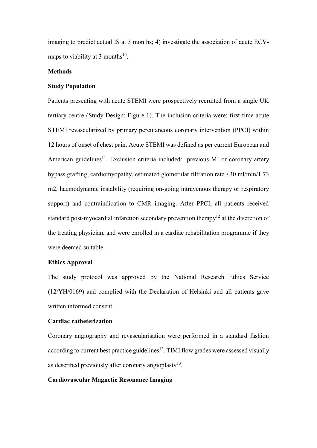imaging to predict actual IS at 3 months; 4) investigate the association of acute ECVmaps to viability at 3 months<sup>10</sup>.

#### **Methods**

### **Study Population**

Patients presenting with acute STEMI were prospectively recruited from a single UK tertiary centre (Study Design: Figure 1). The inclusion criteria were: first-time acute STEMI revascularized by primary percutaneous coronary intervention (PPCI) within 12 hours of onset of chest pain. Acute STEMI was defined as per current European and American guidelines<sup>11</sup>. Exclusion criteria included: previous MI or coronary artery bypass grafting, cardiomyopathy, estimated glomerular filtration rate <30 ml/min/1.73 m2, haemodynamic instability (requiring on-going intravenous therapy or respiratory support) and contraindication to CMR imaging. After PPCI, all patients received standard post-myocardial infarction secondary prevention therapy<sup>12</sup> at the discretion of the treating physician, and were enrolled in a cardiac rehabilitation programme if they were deemed suitable.

### **Ethics Approval**

The study protocol was approved by the National Research Ethics Service (12/YH/0169) and complied with the Declaration of Helsinki and all patients gave written informed consent.

#### **Cardiac catheterization**

Coronary angiography and revascularisation were performed in a standard fashion according to current best practice guidelines<sup>12</sup>. TIMI flow grades were assessed visually as described previously after coronary angioplasty $13$ .

#### **Cardiovascular Magnetic Resonance Imaging**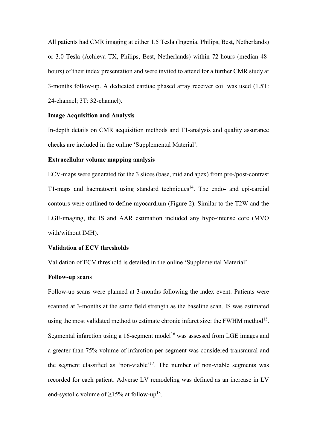All patients had CMR imaging at either 1.5 Tesla (Ingenia, Philips, Best, Netherlands) or 3.0 Tesla (Achieva TX, Philips, Best, Netherlands) within 72-hours (median 48 hours) of their index presentation and were invited to attend for a further CMR study at 3-months follow-up. A dedicated cardiac phased array receiver coil was used (1.5T: 24-channel; 3T: 32-channel).

### **Image Acquisition and Analysis**

In-depth details on CMR acquisition methods and T1-analysis and quality assurance checks are included in the online 'Supplemental Material'.

#### **Extracellular volume mapping analysis**

ECV-maps were generated for the 3 slices (base, mid and apex) from pre-/post-contrast T1-maps and haematocrit using standard techniques<sup>14</sup>. The endo- and epi-cardial contours were outlined to define myocardium (Figure 2). Similar to the T2W and the LGE-imaging, the IS and AAR estimation included any hypo-intense core (MVO with/without IMH).

### **Validation of ECV thresholds**

Validation of ECV threshold is detailed in the online 'Supplemental Material'.

### **Follow-up scans**

Follow-up scans were planned at 3-months following the index event. Patients were scanned at 3-months at the same field strength as the baseline scan. IS was estimated using the most validated method to estimate chronic infarct size: the FWHM method<sup>15</sup>. Segmental infarction using a 16-segment model<sup>16</sup> was assessed from LGE images and a greater than 75% volume of infarction per-segment was considered transmural and the segment classified as 'non-viable'<sup>17</sup>. The number of non-viable segments was recorded for each patient. Adverse LV remodeling was defined as an increase in LV end-systolic volume of  $\geq$ 15% at follow-up<sup>18</sup>.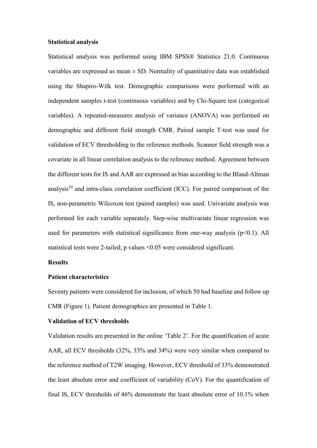#### **Statistical analysis**

Statistical analysis was performed using IBM SPSS® Statistics 21.0. Continuous variables are expressed as mean  $\pm$  SD. Normality of quantitative data was established using the Shapiro-Wilk test. Demographic comparisons were performed with an independent samples t-test (continuous variables) and by Chi-Square test (categorical variables). A repeated-measures analysis of variance (ANOVA) was performed on demographic and different field strength CMR. Paired sample T-test was used for validation of ECV thresholding to the reference methods. Scanner field strength was a covariate in all linear correlation analysis to the reference method. Agreement between the different tests for IS and AAR are expressed as bias according to the Bland-Altman analysis $19$  and intra-class correlation coefficient (ICC). For paired comparison of the IS, non-parametric Wilcoxon test (paired samples) was used. Univariate analysis was performed for each variable separately. Step-wise multivariate linear regression was used for parameters with statistical significance from one-way analysis  $(p<0.1)$ . All statistical tests were 2-tailed; p values <0.05 were considered significant.

#### **Results**

### **Patient characteristics**

Seventy patients were considered for inclusion, of which 50 had baseline and follow up CMR (Figure 1). Patient demographics are presented in Table 1.

#### **Validation of ECV thresholds**

Validation results are presented in the online 'Table 2'. For the quantification of acute AAR, all ECV thresholds (32%, 33% and 34%) were very similar when compared to the reference method of T2W imaging. However, ECV threshold of 33% demonstrated the least absolute error and coefficient of variability (CoV). For the quantification of final IS, ECV thresholds of 46% demonstrate the least absolute error of 10.1% when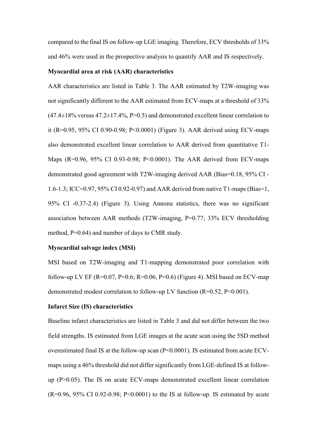compared to the final IS on follow-up LGE imaging. Therefore, ECV thresholds of 33% and 46% were used in the prospective analysis to quantify AAR and IS respectively.

#### **Myocardial area at risk (AAR) characteristics**

AAR characteristics are listed in Table 3. The AAR estimated by T2W-imaging was not significantly different to the AAR estimated from ECV-maps at a threshold of 33%  $(47.4\pm18\%$  versus  $47.2\pm17.4\%$ , P $>0.5$ ) and demonstrated excellent linear correlation to it (R=0.95, 95% CI 0.90-0.98; P<0.0001) (Figure 3). AAR derived using ECV-maps also demonstrated excellent linear correlation to AAR derived from quantitative T1- Maps (R=0.96, 95% CI 0.93-0.98; P<0.0001). The AAR derived from ECV-maps demonstrated good agreement with T2W-imaging derived AAR (Bias=0.18, 95% CI - 1.6-1.3; ICC=0.97, 95% CI 0.92-0.97) and AAR derived from native T1-maps (Bias=1, 95% CI -0.37-2.4) (Figure 3). Using Annona statistics, there was no significant association between AAR methods (T2W-imaging, P=0.77; 33% ECV thresholding method, P=0.64) and number of days to CMR study.

### **Myocardial salvage index (MSI)**

MSI based on T2W-imaging and T1-mapping demonstrated poor correlation with follow-up LV EF (R=0.07, P=0.6; R=0.06, P=0.6) (Figure 4). MSI based on ECV-map demonstrated modest correlation to follow-up LV function  $(R=0.52, P<0.001)$ .

#### **Infarct Size (IS) characteristics**

Baseline infarct characteristics are listed in Table 3 and did not differ between the two field strengths. IS estimated from LGE images at the acute scan using the 5SD method overestimated final IS at the follow-up scan (P<0.0001). IS estimated from acute ECVmaps using a 46% threshold did not differ significantly from LGE-defined IS at followup (P>0.05). The IS on acute ECV-maps demonstrated excellent linear correlation  $(R=0.96, 95\% \text{ CI } 0.92-0.98; P<0.0001)$  to the IS at follow-up. IS estimated by acute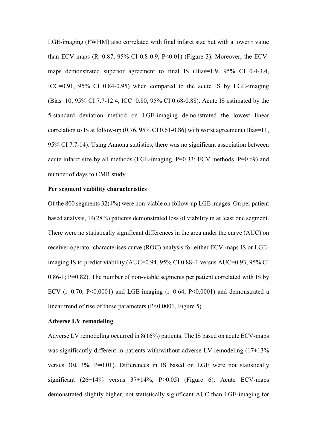LGE-imaging (FWHM) also correlated with final infarct size but with a lower r value than ECV maps (R=0.87, 95% CI 0.8-0.9, P<0.01) (Figure 3). Moreover, the ECVmaps demonstrated superior agreement to final IS (Bias=1.9, 95% CI 0.4-3.4, ICC=0.91, 95% CI 0.84-0.95) when compared to the acute IS by LGE-imaging (Bias=10, 95% CI 7.7-12.4, ICC=0.80, 95% CI 0.68-0.88). Acute IS estimated by the 5-standard deviation method on LGE-imaging demonstrated the lowest linear correlation to IS at follow-up (0.76, 95% CI 0.61-0.86) with worst agreement (Bias=11, 95% CI 7.7-14). Using Annona statistics, there was no significant association between acute infarct size by all methods (LGE-imaging, P=0.33; ECV methods, P=0.69) and number of days to CMR study.

### **Per segment viability characteristics**

Of the 800 segments 32(4%) were non-viable on follow-up LGE images. On per patient based analysis, 14(28%) patients demonstrated loss of viability in at least one segment. There were no statistically significant differences in the area under the curve (AUC) on receiver operator characterises curve (ROC) analysis for either ECV-maps IS or LGEimaging IS to predict viability (AUC=0.94, 95% CI 0.88–1 versus AUC=0.93, 95% CI 0.86-1; P=0.82). The number of non-viable segments per patient correlated with IS by ECV ( $r=0.70$ ,  $P<0.0001$ ) and LGE-imaging ( $r=0.64$ ,  $P<0.0001$ ) and demonstrated a linear trend of rise of these parameters (P<0.0001, Figure 5).

#### **Adverse LV remodeling**

Adverse LV remodeling occurred in 8(16%) patients. The IS based on acute ECV-maps was significantly different in patients with/without adverse LV remodeling  $(17\pm13\%)$ versus 30±13%, P=0.01). Differences in IS based on LGE were not statistically significant  $(26\pm14\%$  versus  $37\pm14\%$ , P $>0.05$ ) (Figure 6). Acute ECV-maps demonstrated slightly higher, not statistically significant AUC than LGE-imaging for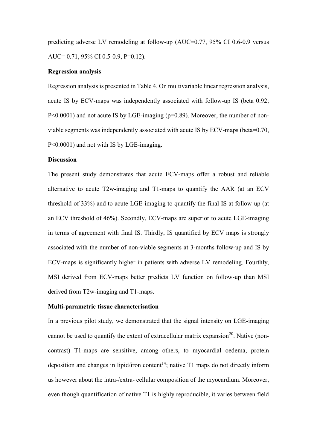predicting adverse LV remodeling at follow-up (AUC=0.77, 95% CI 0.6-0.9 versus AUC= 0.71, 95% CI 0.5-0.9, P=0.12).

#### **Regression analysis**

Regression analysis is presented in Table 4. On multivariable linear regression analysis, acute IS by ECV-maps was independently associated with follow-up IS (beta 0.92; P<0.0001) and not acute IS by LGE-imaging (p=0.89). Moreover, the number of nonviable segments was independently associated with acute IS by ECV-maps (beta=0.70, P<0.0001) and not with IS by LGE-imaging.

#### **Discussion**

The present study demonstrates that acute ECV-maps offer a robust and reliable alternative to acute T2w-imaging and T1-maps to quantify the AAR (at an ECV threshold of 33%) and to acute LGE-imaging to quantify the final IS at follow-up (at an ECV threshold of 46%). Secondly, ECV-maps are superior to acute LGE-imaging in terms of agreement with final IS. Thirdly, IS quantified by ECV maps is strongly associated with the number of non-viable segments at 3-months follow-up and IS by ECV-maps is significantly higher in patients with adverse LV remodeling. Fourthly, MSI derived from ECV-maps better predicts LV function on follow-up than MSI derived from T2w-imaging and T1-maps.

#### **Multi-parametric tissue characterisation**

In a previous pilot study, we demonstrated that the signal intensity on LGE-imaging cannot be used to quantify the extent of extracellular matrix expansion<sup>20</sup>. Native (noncontrast) T1-maps are sensitive, among others, to myocardial oedema, protein deposition and changes in lipid/iron content<sup>14</sup>; native  $T1$  maps do not directly inform us however about the intra-/extra- cellular composition of the myocardium. Moreover, even though quantification of native T1 is highly reproducible, it varies between field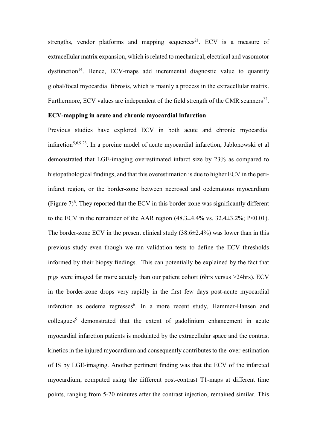strengths, vendor platforms and mapping sequences<sup>21</sup>. ECV is a measure of extracellular matrix expansion, which is related to mechanical, electrical and vasomotor dysfunction<sup>14</sup>. Hence, ECV-maps add incremental diagnostic value to quantify global/focal myocardial fibrosis, which is mainly a process in the extracellular matrix. Furthermore, ECV values are independent of the field strength of the CMR scanners<sup>22</sup>.

### **ECV-mapping in acute and chronic myocardial infarction**

Previous studies have explored ECV in both acute and chronic myocardial infarction<sup>5,6,9,23</sup>. In a porcine model of acute myocardial infarction, Jablonowski et al demonstrated that LGE-imaging overestimated infarct size by 23% as compared to histopathological findings, and that this overestimation is due to higher ECV in the periinfarct region, or the border-zone between necrosed and oedematous myocardium (Figure  $7)^6$ . They reported that the ECV in this border-zone was significantly different to the ECV in the remainder of the AAR region  $(48.3\pm4.4\% \text{ vs. } 32.4\pm3.2\%; P<0.01)$ . The border-zone ECV in the present clinical study  $(38.6\pm 2.4\%)$  was lower than in this previous study even though we ran validation tests to define the ECV thresholds informed by their biopsy findings. This can potentially be explained by the fact that pigs were imaged far more acutely than our patient cohort (6hrs versus >24hrs). ECV in the border-zone drops very rapidly in the first few days post-acute myocardial infarction as oedema regresses<sup>6</sup>. In a more recent study, Hammer-Hansen and  $\text{colle}$ agues<sup>5</sup> demonstrated that the extent of gadolinium enhancement in acute myocardial infarction patients is modulated by the extracellular space and the contrast kinetics in the injured myocardium and consequently contributes to the over-estimation of IS by LGE-imaging. Another pertinent finding was that the ECV of the infarcted myocardium, computed using the different post-contrast T1-maps at different time points, ranging from 5-20 minutes after the contrast injection, remained similar. This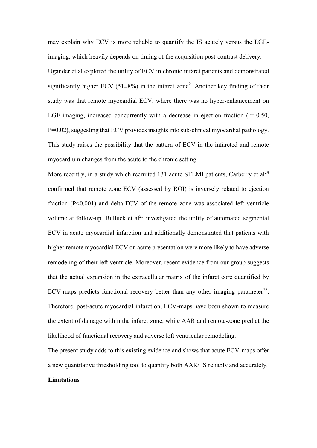may explain why ECV is more reliable to quantify the IS acutely versus the LGEimaging, which heavily depends on timing of the acquisition post-contrast delivery. Ugander et al explored the utility of ECV in chronic infarct patients and demonstrated significantly higher ECV (51 $\pm$ 8%) in the infarct zone<sup>9</sup>. Another key finding of their study was that remote myocardial ECV, where there was no hyper-enhancement on LGE-imaging, increased concurrently with a decrease in ejection fraction  $(r=0.50, r=0.50)$ P=0.02), suggesting that ECV provides insights into sub-clinical myocardial pathology. This study raises the possibility that the pattern of ECV in the infarcted and remote myocardium changes from the acute to the chronic setting.

More recently, in a study which recruited 131 acute STEMI patients, Carberry et  $al^{24}$ confirmed that remote zone ECV (assessed by ROI) is inversely related to ejection fraction (P<0.001) and delta-ECV of the remote zone was associated left ventricle volume at follow-up. Bulluck et  $al^{25}$  investigated the utility of automated segmental ECV in acute myocardial infarction and additionally demonstrated that patients with higher remote myocardial ECV on acute presentation were more likely to have adverse remodeling of their left ventricle. Moreover, recent evidence from our group suggests that the actual expansion in the extracellular matrix of the infarct core quantified by ECV-maps predicts functional recovery better than any other imaging parameter<sup>26</sup>. Therefore, post-acute myocardial infarction, ECV-maps have been shown to measure the extent of damage within the infarct zone, while AAR and remote-zone predict the likelihood of functional recovery and adverse left ventricular remodeling.

The present study adds to this existing evidence and shows that acute ECV-maps offer a new quantitative thresholding tool to quantify both AAR/ IS reliably and accurately.

#### **Limitations**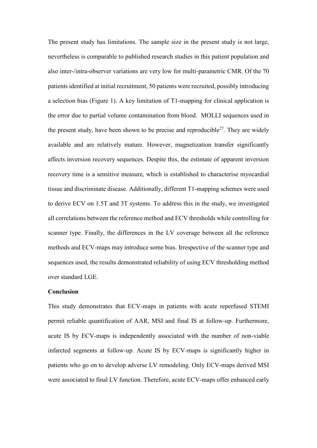The present study has limitations. The sample size in the present study is not large, nevertheless is comparable to published research studies in this patient population and also inter-/intra-observer variations are very low for multi-parametric CMR. Of the 70 patients identified at initial recruitment, 50 patients were recruited, possibly introducing a selection bias (Figure 1). A key limitation of T1-mapping for clinical application is the error due to partial volume contamination from blood. MOLLI sequences used in the present study, have been shown to be precise and reproducible<sup>27</sup>. They are widely available and are relatively mature. However, magnetization transfer significantly affects inversion recovery sequences. Despite this, the estimate of apparent inversion recovery time is a sensitive measure, which is established to characterise myocardial tissue and discriminate disease. Additionally, different T1-mapping schemes were used to derive ECV on 1.5T and 3T systems. To address this in the study, we investigated all correlations between the reference method and ECV thresholds while controlling for scanner type. Finally, the differences in the LV coverage between all the reference methods and ECV-maps may introduce some bias. Irrespective of the scanner type and sequences used, the results demonstrated reliability of using ECV thresholding method over standard LGE.

#### **Conclusion**

This study demonstrates that ECV-maps in patients with acute reperfused STEMI permit reliable quantification of AAR, MSI and final IS at follow-up. Furthermore, acute IS by ECV-maps is independently associated with the number of non-viable infarcted segments at follow-up. Acute IS by ECV-maps is significantly higher in patients who go on to develop adverse LV remodeling. Only ECV-maps derived MSI were associated to final LV function. Therefore, acute ECV-maps offer enhanced early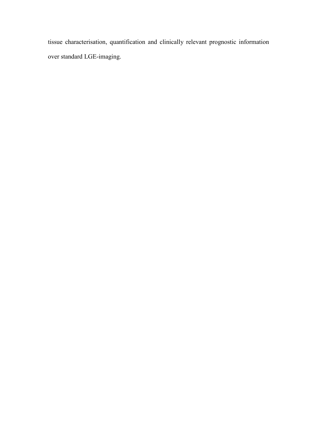tissue characterisation, quantification and clinically relevant prognostic information over standard LGE-imaging.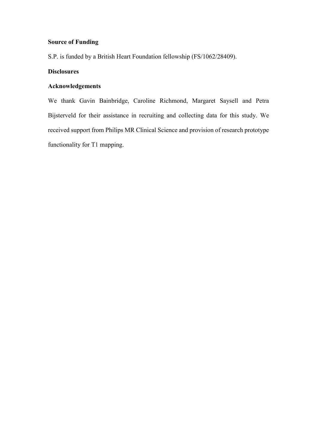### **Source of Funding**

S.P. is funded by a British Heart Foundation fellowship (FS/1062/28409).

## **Disclosures**

# **Acknowledgements**

We thank Gavin Bainbridge, Caroline Richmond, Margaret Saysell and Petra Bijsterveld for their assistance in recruiting and collecting data for this study. We received support from Philips MR Clinical Science and provision of research prototype functionality for T1 mapping.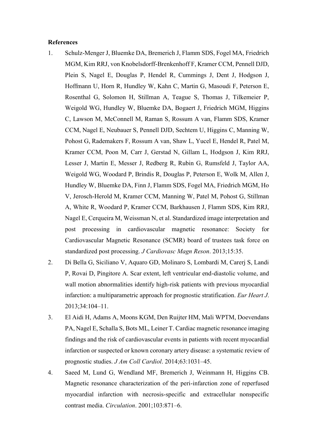#### **References**

- 1. Schulz-Menger J, Bluemke DA, Bremerich J, Flamm SDS, Fogel MA, Friedrich MGM, Kim RRJ, von Knobelsdorff-Brenkenhoff F, Kramer CCM, Pennell DJD, Plein S, Nagel E, Douglas P, Hendel R, Cummings J, Dent J, Hodgson J, Hoffmann U, Horn R, Hundley W, Kahn C, Martin G, Masoudi F, Peterson E, Rosenthal G, Solomon H, Stillman A, Teague S, Thomas J, Tilkemeier P, Weigold WG, Hundley W, Bluemke DA, Bogaert J, Friedrich MGM, Higgins C, Lawson M, McConnell M, Raman S, Rossum A van, Flamm SDS, Kramer CCM, Nagel E, Neubauer S, Pennell DJD, Sechtem U, Higgins C, Manning W, Pohost G, Rademakers F, Rossum A van, Shaw L, Yucel E, Hendel R, Patel M, Kramer CCM, Poon M, Carr J, Gerstad N, Gillam L, Hodgson J, Kim RRJ, Lesser J, Martin E, Messer J, Redberg R, Rubin G, Rumsfeld J, Taylor AA, Weigold WG, Woodard P, Brindis R, Douglas P, Peterson E, Wolk M, Allen J, Hundley W, Bluemke DA, Finn J, Flamm SDS, Fogel MA, Friedrich MGM, Ho V, Jerosch-Herold M, Kramer CCM, Manning W, Patel M, Pohost G, Stillman A, White R, Woodard P, Kramer CCM, Barkhausen J, Flamm SDS, Kim RRJ, Nagel E, Cerqueira M, Weissman N, et al. Standardized image interpretation and post processing in cardiovascular magnetic resonance: Society for Cardiovascular Magnetic Resonance (SCMR) board of trustees task force on standardized post processing. *J Cardiovasc Magn Reson*. 2013;15:35.
- 2. Di Bella G, Siciliano V, Aquaro GD, Molinaro S, Lombardi M, Carerj S, Landi P, Rovai D, Pingitore A. Scar extent, left ventricular end-diastolic volume, and wall motion abnormalities identify high-risk patients with previous myocardial infarction: a multiparametric approach for prognostic stratification. *Eur Heart J*. 2013;34:104–11.
- 3. El Aidi H, Adams A, Moons KGM, Den Ruijter HM, Mali WPTM, Doevendans PA, Nagel E, Schalla S, Bots ML, Leiner T. Cardiac magnetic resonance imaging findings and the risk of cardiovascular events in patients with recent myocardial infarction or suspected or known coronary artery disease: a systematic review of prognostic studies. *J Am Coll Cardiol*. 2014;63:1031–45.
- 4. Saeed M, Lund G, Wendland MF, Bremerich J, Weinmann H, Higgins CB. Magnetic resonance characterization of the peri-infarction zone of reperfused myocardial infarction with necrosis-specific and extracellular nonspecific contrast media. *Circulation*. 2001;103:871–6.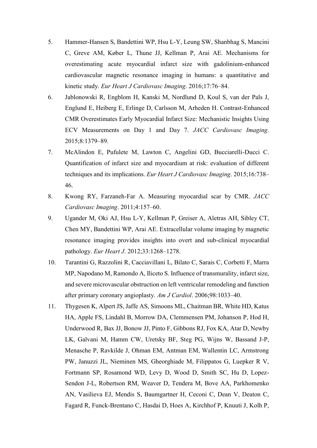- 5. Hammer-Hansen S, Bandettini WP, Hsu L-Y, Leung SW, Shanbhag S, Mancini C, Greve AM, Køber L, Thune JJ, Kellman P, Arai AE. Mechanisms for overestimating acute myocardial infarct size with gadolinium-enhanced cardiovascular magnetic resonance imaging in humans: a quantitative and kinetic study. *Eur Heart J Cardiovasc Imaging*. 2016;17:76–84.
- 6. Jablonowski R, Engblom H, Kanski M, Nordlund D, Koul S, van der Pals J, Englund E, Heiberg E, Erlinge D, Carlsson M, Arheden H. Contrast-Enhanced CMR Overestimates Early Myocardial Infarct Size: Mechanistic Insights Using ECV Measurements on Day 1 and Day 7. *JACC Cardiovasc Imaging*. 2015;8:1379–89.
- 7. McAlindon E, Pufulete M, Lawton C, Angelini GD, Bucciarelli-Ducci C. Quantification of infarct size and myocardium at risk: evaluation of different techniques and its implications. *Eur Heart J Cardiovasc Imaging*. 2015;16:738– 46.
- 8. Kwong RY, Farzaneh-Far A. Measuring myocardial scar by CMR. *JACC Cardiovasc Imaging*. 2011;4:157–60.
- 9. Ugander M, Oki AJ, Hsu L-Y, Kellman P, Greiser A, Aletras AH, Sibley CT, Chen MY, Bandettini WP, Arai AE. Extracellular volume imaging by magnetic resonance imaging provides insights into overt and sub-clinical myocardial pathology. *Eur Heart J*. 2012;33:1268–1278.
- 10. Tarantini G, Razzolini R, Cacciavillani L, Bilato C, Sarais C, Corbetti F, Marra MP, Napodano M, Ramondo A, Iliceto S. Influence of transmurality, infarct size, and severe microvascular obstruction on left ventricular remodeling and function after primary coronary angioplasty. *Am J Cardiol*. 2006;98:1033–40.
- 11. Thygesen K, Alpert JS, Jaffe AS, Simoons ML, Chaitman BR, White HD, Katus HA, Apple FS, Lindahl B, Morrow DA, Clemmensen PM, Johanson P, Hod H, Underwood R, Bax JJ, Bonow JJ, Pinto F, Gibbons RJ, Fox KA, Atar D, Newby LK, Galvani M, Hamm CW, Uretsky BF, Steg PG, Wijns W, Bassand J-P, Menasche P, Ravkilde J, Ohman EM, Antman EM, Wallentin LC, Armstrong PW, Januzzi JL, Nieminen MS, Gheorghiade M, Filippatos G, Luepker R V, Fortmann SP, Rosamond WD, Levy D, Wood D, Smith SC, Hu D, Lopez-Sendon J-L, Robertson RM, Weaver D, Tendera M, Bove AA, Parkhomenko AN, Vasilieva EJ, Mendis S, Baumgartner H, Ceconi C, Dean V, Deaton C, Fagard R, Funck-Brentano C, Hasdai D, Hoes A, Kirchhof P, Knuuti J, Kolh P,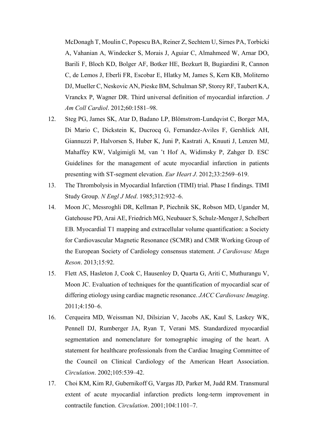McDonagh T, Moulin C, Popescu BA, Reiner Z, Sechtem U, Sirnes PA, Torbicki A, Vahanian A, Windecker S, Morais J, Aguiar C, Almahmeed W, Arnar DO, Barili F, Bloch KD, Bolger AF, Botker HE, Bozkurt B, Bugiardini R, Cannon C, de Lemos J, Eberli FR, Escobar E, Hlatky M, James S, Kern KB, Moliterno DJ, Mueller C, Neskovic AN, Pieske BM, Schulman SP, Storey RF, Taubert KA, Vranckx P, Wagner DR. Third universal definition of myocardial infarction. *J Am Coll Cardiol*. 2012;60:1581–98.

- 12. Steg PG, James SK, Atar D, Badano LP, Blömstrom-Lundqvist C, Borger MA, Di Mario C, Dickstein K, Ducrocq G, Fernandez-Aviles F, Gershlick AH, Giannuzzi P, Halvorsen S, Huber K, Juni P, Kastrati A, Knuuti J, Lenzen MJ, Mahaffey KW, Valgimigli M, van 't Hof A, Widimsky P, Zahger D. ESC Guidelines for the management of acute myocardial infarction in patients presenting with ST-segment elevation. *Eur Heart J*. 2012;33:2569–619.
- 13. The Thrombolysis in Myocardial Infarction (TIMI) trial. Phase I findings. TIMI Study Group. *N Engl J Med*. 1985;312:932–6.
- 14. Moon JC, Messroghli DR, Kellman P, Piechnik SK, Robson MD, Ugander M, Gatehouse PD, Arai AE, Friedrich MG, Neubauer S, Schulz-Menger J, Schelbert EB. Myocardial T1 mapping and extracellular volume quantification: a Society for Cardiovascular Magnetic Resonance (SCMR) and CMR Working Group of the European Society of Cardiology consensus statement. *J Cardiovasc Magn Reson*. 2013;15:92.
- 15. Flett AS, Hasleton J, Cook C, Hausenloy D, Quarta G, Ariti C, Muthurangu V, Moon JC. Evaluation of techniques for the quantification of myocardial scar of differing etiology using cardiac magnetic resonance. *JACC Cardiovasc Imaging*. 2011;4:150–6.
- 16. Cerqueira MD, Weissman NJ, Dilsizian V, Jacobs AK, Kaul S, Laskey WK, Pennell DJ, Rumberger JA, Ryan T, Verani MS. Standardized myocardial segmentation and nomenclature for tomographic imaging of the heart. A statement for healthcare professionals from the Cardiac Imaging Committee of the Council on Clinical Cardiology of the American Heart Association. *Circulation*. 2002;105:539–42.
- 17. Choi KM, Kim RJ, Gubernikoff G, Vargas JD, Parker M, Judd RM. Transmural extent of acute myocardial infarction predicts long-term improvement in contractile function. *Circulation*. 2001;104:1101–7.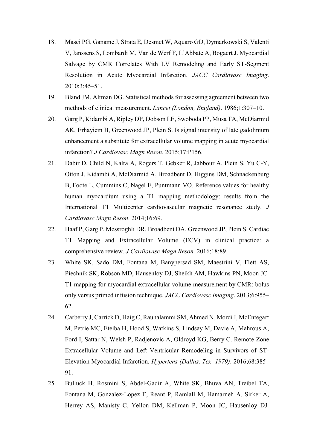- 18. Masci PG, Ganame J, Strata E, Desmet W, Aquaro GD, Dymarkowski S, Valenti V, Janssens S, Lombardi M, Van de Werf F, L'Abbate A, Bogaert J. Myocardial Salvage by CMR Correlates With LV Remodeling and Early ST-Segment Resolution in Acute Myocardial Infarction. *JACC Cardiovasc Imaging*. 2010;3:45–51.
- 19. Bland JM, Altman DG. Statistical methods for assessing agreement between two methods of clinical measurement. *Lancet (London, England)*. 1986;1:307–10.
- 20. Garg P, Kidambi A, Ripley DP, Dobson LE, Swoboda PP, Musa TA, McDiarmid AK, Erhayiem B, Greenwood JP, Plein S. Is signal intensity of late gadolinium enhancement a substitute for extracellular volume mapping in acute myocardial infarction? *J Cardiovasc Magn Reson*. 2015;17:P156.
- 21. Dabir D, Child N, Kalra A, Rogers T, Gebker R, Jabbour A, Plein S, Yu C-Y, Otton J, Kidambi A, McDiarmid A, Broadbent D, Higgins DM, Schnackenburg B, Foote L, Cummins C, Nagel E, Puntmann VO. Reference values for healthy human myocardium using a T1 mapping methodology: results from the International T1 Multicenter cardiovascular magnetic resonance study. *J Cardiovasc Magn Reson*. 2014;16:69.
- 22. Haaf P, Garg P, Messroghli DR, Broadbent DA, Greenwood JP, Plein S. Cardiac T1 Mapping and Extracellular Volume (ECV) in clinical practice: a comprehensive review. *J Cardiovasc Magn Reson*. 2016;18:89.
- 23. White SK, Sado DM, Fontana M, Banypersad SM, Maestrini V, Flett AS, Piechnik SK, Robson MD, Hausenloy DJ, Sheikh AM, Hawkins PN, Moon JC. T1 mapping for myocardial extracellular volume measurement by CMR: bolus only versus primed infusion technique. *JACC Cardiovasc Imaging*. 2013;6:955– 62.
- 24. Carberry J, Carrick D, Haig C, Rauhalammi SM, Ahmed N, Mordi I, McEntegart M, Petrie MC, Eteiba H, Hood S, Watkins S, Lindsay M, Davie A, Mahrous A, Ford I, Sattar N, Welsh P, Radjenovic A, Oldroyd KG, Berry C. Remote Zone Extracellular Volume and Left Ventricular Remodeling in Survivors of ST-Elevation Myocardial Infarction. *Hypertens (Dallas, Tex 1979)*. 2016;68:385– 91.
- 25. Bulluck H, Rosmini S, Abdel-Gadir A, White SK, Bhuva AN, Treibel TA, Fontana M, Gonzalez-Lopez E, Reant P, Ramlall M, Hamarneh A, Sirker A, Herrey AS, Manisty C, Yellon DM, Kellman P, Moon JC, Hausenloy DJ.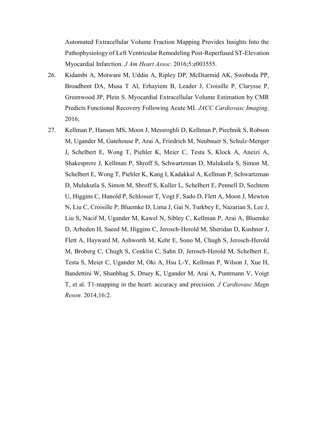Automated Extracellular Volume Fraction Mapping Provides Insights Into the Pathophysiology of Left Ventricular Remodeling Post-Reperfused ST-Elevation Myocardial Infarction. *J Am Heart Assoc*. 2016;5:e003555.

- 26. Kidambi A, Motwani M, Uddin A, Ripley DP, McDiarmid AK, Swoboda PP, Broadbent DA, Musa T Al, Erhayiem B, Leader J, Croisille P, Clarysse P, Greenwood JP, Plein S. Myocardial Extracellular Volume Estimation by CMR Predicts Functional Recovery Following Acute MI. *JACC Cardiovasc Imaging*. 2016;
- 27. Kellman P, Hansen MS, Moon J, Messroghli D, Kellman P, Piechnik S, Robson M, Ugander M, Gatehouse P, Arai A, Friedrich M, Neubauer S, Schulz-Menger J, Schelbert E, Wong T, Piehler K, Meier C, Testa S, Klock A, Aneizi A, Shakesprere J, Kellman P, Shroff S, Schwartzman D, Mulukutla S, Simon M, Schelbert E, Wong T, Piehler K, Kang I, Kadakkal A, Kellman P, Schwartzman D, Mulukutla S, Simon M, Shroff S, Kuller L, Schelbert E, Pennell D, Sechtem U, Higgins C, Hunold P, Schlosser T, Vogt F, Sado D, Flett A, Moon J, Mewton N, Liu C, Croisille P, Bluemke D, Lima J, Gai N, Turkbey E, Nazarian S, Lee J, Liu S, Nacif M, Ugander M, Kawel N, Sibley C, Kellman P, Arai A, Bluemke D, Arheden H, Saeed M, Higgins C, Jerosch-Herold M, Sheridan D, Kushner J, Flett A, Hayward M, Ashworth M, Kehr E, Sono M, Chugh S, Jerosch-Herold M, Broberg C, Chugh S, Conklin C, Sahn D, Jerosch-Herold M, Schelbert E, Testa S, Meier C, Ugander M, Oki A, Hsu L-Y, Kellman P, Wilson J, Xue H, Bandettini W, Shanbhag S, Druey K, Ugander M, Arai A, Puntmann V, Voigt T, et al. T1-mapping in the heart: accuracy and precision. *J Cardiovasc Magn Reson*. 2014;16:2.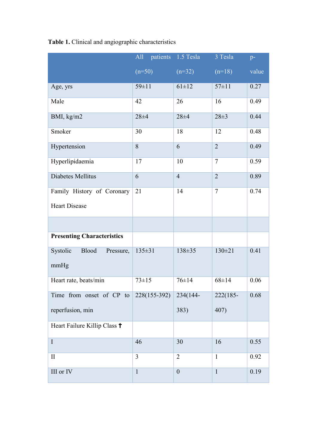|                                   | All<br>patients | 1.5 Tesla        | 3 Tesla        | $p-$              |
|-----------------------------------|-----------------|------------------|----------------|-------------------|
|                                   | $(n=50)$        | $(n=32)$         | $(n=18)$       | value             |
| Age, yrs                          | $59 \pm 11$     | $61 \pm 12$      | $57 \pm 11$    | 0.27              |
| Male                              | 42              | 26               | 16             | 0.49              |
| BMI, kg/m2                        | $28 + 4$        | $28 + 4$         | $28 \pm 3$     | 0.44              |
| Smoker                            | 30              | 18               | 12             | 0.48              |
| Hypertension                      | $\overline{8}$  | 6                | $\overline{2}$ | 0.49              |
| Hyperlipidaemia                   | 17              | 10               | $\overline{7}$ | $\overline{0.59}$ |
| Diabetes Mellitus                 | 6               | $\overline{4}$   | $\overline{2}$ | 0.89              |
| Family History of Coronary        | 21              | 14               | $\overline{7}$ | 0.74              |
| <b>Heart Disease</b>              |                 |                  |                |                   |
|                                   |                 |                  |                |                   |
| <b>Presenting Characteristics</b> |                 |                  |                |                   |
| Systolic<br>Blood<br>Pressure,    | $135 \pm 31$    | $138 \pm 35$     | $130 \pm 21$   | 0.41              |
| mmHg                              |                 |                  |                |                   |
| Heart rate, beats/min             | $73 \pm 15$     | $76 \pm 14$      | $68 \pm 14$    | 0.06              |
| Time from onset of CP to          | 228(155-392)    | 234(144-         | 222(185-       | 0.68              |
| reperfusion, min                  |                 | 383)             | 407)           |                   |
| Heart Failure Killip Class +      |                 |                  |                |                   |
| $\rm I$                           | 46              | 30               | 16             | 0.55              |
| $\mathbf{I}$                      | 3               | $\overline{2}$   | $\mathbf{1}$   | 0.92              |
| $\rm III$ or $\rm IV$             | $\mathbf{1}$    | $\boldsymbol{0}$ | $\mathbf{1}$   | 0.19              |

**Table 1.** Clinical and angiographic characteristics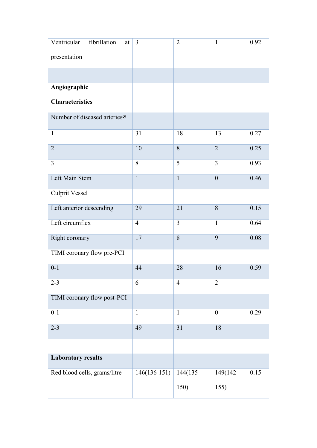| Ventricular<br>fibrillation<br>at | 3              | $\overline{2}$ | $\mathbf{1}$     | 0.92 |
|-----------------------------------|----------------|----------------|------------------|------|
| presentation                      |                |                |                  |      |
|                                   |                |                |                  |      |
| Angiographic                      |                |                |                  |      |
| <b>Characteristics</b>            |                |                |                  |      |
| Number of diseased arteriesø      |                |                |                  |      |
| $\mathbf{1}$                      | 31             | 18             | 13               | 0.27 |
| $\overline{2}$                    | 10             | 8              | $\overline{2}$   | 0.25 |
| $\overline{3}$                    | 8              | 5              | 3                | 0.93 |
| Left Main Stem                    | $\mathbf{1}$   | $\mathbf{1}$   | $\overline{0}$   | 0.46 |
| <b>Culprit Vessel</b>             |                |                |                  |      |
| Left anterior descending          | 29             | 21             | 8                | 0.15 |
| Left circumflex                   | $\overline{4}$ | 3              | $\mathbf{1}$     | 0.64 |
| Right coronary                    | 17             | 8              | 9                | 0.08 |
| TIMI coronary flow pre-PCI        |                |                |                  |      |
| $0 - 1$                           | 44             | 28             | 16               | 0.59 |
| $2 - 3$                           | 6              | $\overline{4}$ | $\overline{2}$   |      |
| TIMI coronary flow post-PCI       |                |                |                  |      |
| $0 - 1$                           | $\overline{1}$ | $\overline{1}$ | $\boldsymbol{0}$ | 0.29 |
| $2 - 3$                           | 49             | 31             | 18               |      |
|                                   |                |                |                  |      |
| <b>Laboratory results</b>         |                |                |                  |      |
| Red blood cells, grams/litre      | $146(136-151)$ | 144(135-       | 149(142-         | 0.15 |
|                                   |                | 150)           | 155)             |      |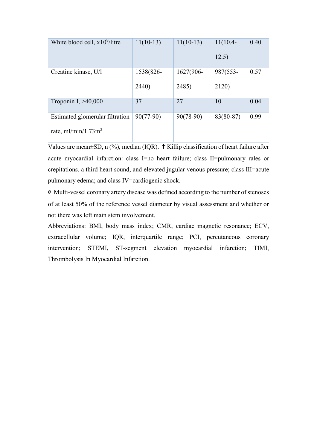| White blood cell, $x10^9$ /litre | $11(10-13)$ | $11(10-13)$ | $11(10.4 -$<br>12.5) | 0.40 |
|----------------------------------|-------------|-------------|----------------------|------|
|                                  |             |             |                      |      |
| Creatine kinase, U/l             | 1538(826-   | 1627(906-   | 987(553-             | 0.57 |
|                                  |             |             |                      |      |
|                                  | 2440)       | 2485)       | 2120)                |      |
|                                  |             |             |                      |      |
| Troponin I, $>40,000$            | 37          | 27          | 10                   | 0.04 |
|                                  |             |             |                      |      |
| Estimated glomerular filtration  | $90(77-90)$ | $90(78-90)$ | $83(80-87)$          | 0.99 |
|                                  |             |             |                      |      |
| rate, $ml/min/1.73m2$            |             |             |                      |      |
|                                  |             |             |                      |      |

Values are mean $\pm$ SD, n (%), median (IQR).  $\dagger$  Killip classification of heart failure after acute myocardial infarction: class I=no heart failure; class II=pulmonary rales or crepitations, a third heart sound, and elevated jugular venous pressure; class III=acute pulmonary edema; and class IV=cardiogenic shock.

挨 Multi-vessel coronary artery disease was defined according to the number of stenoses of at least 50% of the reference vessel diameter by visual assessment and whether or not there was left main stem involvement.

Abbreviations: BMI, body mass index; CMR, cardiac magnetic resonance; ECV, extracellular volume; IQR, interquartile range; PCI, percutaneous coronary intervention; STEMI, ST-segment elevation myocardial infarction; TIMI, Thrombolysis In Myocardial Infarction.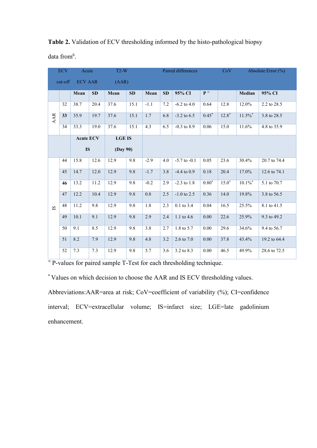|                         | <b>ECV</b> | Acute            |           | $T2-W$        |           | Paired differences |           | CoV              | Absolute Error (%)    |         |          |              |
|-------------------------|------------|------------------|-----------|---------------|-----------|--------------------|-----------|------------------|-----------------------|---------|----------|--------------|
|                         | cut-off    | <b>ECV AAR</b>   |           | (AAR)         |           |                    |           |                  |                       |         |          |              |
|                         |            | Mean             | <b>SD</b> | Mean          | <b>SD</b> | Mean               | <b>SD</b> | 95% CI           | $\mathbf{P}^{\infty}$ |         | Median   | 95% CI       |
|                         | 32         | 38.7             | 20.4      | 37.6          | 15.1      | $-1.1$             | 7.2       | $-6.2$ to $4.0$  | 0.64                  | 12.8    | 12.0%    | 2.2 to 28.5  |
| AAR                     | 33         | 35.9             | 19.7      | 37.6          | 15.1      | 1.7                | 6.8       | $-3.2$ to 6.5    | $0.45*$               | $12.8*$ | $11.5\%$ | 3.8 to 28.5  |
|                         | 34         | 33.3             | 19.0      | 37.6          | 15.1      | 4.3                | 6.5       | $-0.3$ to $8.9$  | 0.06                  | 15.0    | 11.6%    | 4.8 to 35.9  |
|                         |            | <b>Acute ECV</b> |           | <b>LGE IS</b> |           |                    |           |                  |                       |         |          |              |
|                         |            | <b>IS</b>        |           | (Day 90)      |           |                    |           |                  |                       |         |          |              |
|                         | 44         | 15.8             | 12.6      | 12.9          | 9.8       | $-2.9$             | 4.0       | $-5.7$ to $-0.1$ | 0.05                  | 23.6    | 30.4%    | 20.7 to 74.4 |
|                         | 45         | 14.7             | 12.0      | 12.9          | 9.8       | $-1.7$             | 3.8       | $-4.4$ to 0.9    | 0.18                  | 20.4    | 17.0%    | 12.6 to 74.1 |
|                         | 46         | 13.2             | 11.2      | 12.9          | 9.8       | $-0.2$             | 2.9       | $-2.3$ to $1.8$  | $0.80*$               | $15.0*$ | $10.1\%$ | 5.1 to 70.7  |
|                         | 47         | 12.2             | 10.4      | 12.9          | 9.8       | 0.8                | 2.5       | $-1.0$ to 2.5    | 0.36                  | 14.0    | 19.8%    | 3.8 to 56.5  |
| $\overline{\mathbf{S}}$ | 48         | 11.2             | 9.8       | 12.9          | 9.8       | 1.8                | 2.3       | $0.1$ to 3.4     | 0.04                  | 16.5    | 25.5%    | 8.1 to 41.5  |
|                         | 49         | 10.1             | 9.1       | 12.9          | 9.8       | 2.9                | 2.4       | 1.1 to 4.6       | 0.00                  | 22.6    | 25.9%    | 9.3 to 49.2  |
|                         | 50         | 9.1              | 8.5       | 12.9          | 9.8       | 3.8                | 2.7       | 1.8 to 5.7       | 0.00                  | 29.6    | 34.6%    | 9.4 to 56.7  |
|                         | 51         | 8.2              | 7.9       | 12.9          | 9.8       | 4.8                | 3.2       | 2.6 to 7.0       | 0.00                  | 37.8    | 43.4%    | 19.2 to 64.4 |
|                         | 52         | 7.3              | 7.3       | 12.9          | 9.8       | 5.7                | 3.6       | 3.2 to 8.3       | 0.00                  | 46.5    | 49.9%    | 28.6 to 72.5 |

**Table 2.** Validation of ECV thresholding informed by the histo-pathological biopsy

data from<sup>6</sup>.

<sup>∞</sup>P-values for paired sample T-Test for each thresholding technique.

\* Values on which decision to choose the AAR and IS ECV thresholding values.

Abbreviations:AAR=area at risk; CoV=coefficient of variability (%); CI=confidence interval; ECV=extracellular volume; IS=infarct size; LGE=late gadolinium enhancement.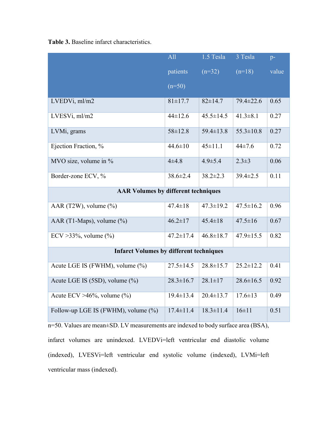**Table 3.** Baseline infarct characteristics.

|                                                | All             | 1.5 Tesla       | $3$ Tesla       | $p-$  |
|------------------------------------------------|-----------------|-----------------|-----------------|-------|
|                                                | patients        | $(n=32)$        | $(n=18)$        | value |
|                                                | $(n=50)$        |                 |                 |       |
| LVEDVi, ml/m2                                  | $81 \pm 17.7$   | $82 \pm 14.7$   | $79.4 \pm 22.6$ | 0.65  |
| LVESVi, ml/m2                                  | $44 \pm 12.6$   | $45.5 \pm 14.5$ | $41.3 \pm 8.1$  | 0.27  |
| LVMi, grams                                    | $58 \pm 12.8$   | $59.4 \pm 13.8$ | $55.3 \pm 10.8$ | 0.27  |
| Ejection Fraction, %                           | $44.6 \pm 10$   | $45 \pm 11.1$   | $44\pm7.6$      | 0.72  |
| MVO size, volume in %                          | $4 + 4.8$       | $4.9 \pm 5.4$   | $2.3 \pm 3$     | 0.06  |
| Border-zone ECV, %                             | $38.6 \pm 2.4$  | $38.2 \pm 2.3$  | $39.4 \pm 2.5$  | 0.11  |
| <b>AAR Volumes by different techniques</b>     |                 |                 |                 |       |
| AAR (T2W), volume (%)                          | $47.4 \pm 18$   | $47.3 \pm 19.2$ | $47.5 \pm 16.2$ | 0.96  |
| AAR (T1-Maps), volume $(\%$ )                  | $46.2 \pm 17$   | $45.4 \pm 18$   | $47.5 \pm 16$   | 0.67  |
| ECV > 33%, volume $(\% )$                      | $47.2 \pm 17.4$ | $46.8 \pm 18.7$ | $47.9 \pm 15.5$ | 0.82  |
| <b>Infarct Volumes by different techniques</b> |                 |                 |                 |       |
| Acute LGE IS (FWHM), volume (%)                | $27.5 \pm 14.5$ | $28.8 \pm 15.7$ | $25.2 \pm 12.2$ | 0.41  |
| Acute LGE IS (5SD), volume (%)                 | $28.3 \pm 16.7$ | $28.1 \pm 17$   | $28.6 \pm 16.5$ | 0.92  |
| Acute ECV $>46\%$ , volume $(\%$ )             | $19.4 \pm 13.4$ | $20.4 \pm 13.7$ | $17.6 \pm 13$   | 0.49  |
| Follow-up LGE IS (FWHM), volume (%)            | $17.4 \pm 11.4$ | $18.3 \pm 11.4$ | $16 \pm 11$     | 0.51  |

n=50. Values are mean±SD. LV measurements are indexed to body surface area (BSA), infarct volumes are unindexed. LVEDVi=left ventricular end diastolic volume (indexed), LVESVi=left ventricular end systolic volume (indexed), LVMi=left ventricular mass (indexed).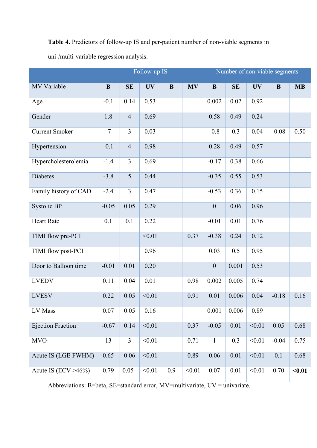**Table 4.** Predictors of follow-up IS and per-patient number of non-viable segments in

uni-/multi-variable regression analysis.

|                          |          |                | Follow-up IS |          |           | Number of non-viable segments |          |           |         |           |
|--------------------------|----------|----------------|--------------|----------|-----------|-------------------------------|----------|-----------|---------|-----------|
| <b>MV Variable</b>       | $\bf{B}$ | <b>SE</b>      | <b>UV</b>    | $\bf{B}$ | <b>MV</b> | $\bf{B}$                      | SE       | <b>UV</b> | B       | <b>MB</b> |
| Age                      | $-0.1$   | 0.14           | 0.53         |          |           | 0.002                         | 0.02     | 0.92      |         |           |
| Gender                   | 1.8      | $\overline{4}$ | 0.69         |          |           | 0.58                          | 0.49     | 0.24      |         |           |
| <b>Current Smoker</b>    | $-7$     | $\overline{3}$ | 0.03         |          |           | $-0.8$                        | 0.3      | 0.04      | $-0.08$ | 0.50      |
| Hypertension             | $-0.1$   | $\overline{4}$ | 0.98         |          |           | 0.28                          | 0.49     | 0.57      |         |           |
| Hypercholesterolemia     | $-1.4$   | $\overline{3}$ | 0.69         |          |           | $-0.17$                       | 0.38     | 0.66      |         |           |
| Diabetes                 | $-3.8$   | $\overline{5}$ | 0.44         |          |           | $-0.35$                       | 0.55     | 0.53      |         |           |
| Family history of CAD    | $-2.4$   | $\overline{3}$ | 0.47         |          |           | $-0.53$                       | 0.36     | 0.15      |         |           |
| Systolic BP              | $-0.05$  | 0.05           | 0.29         |          |           | $\boldsymbol{0}$              | 0.06     | 0.96      |         |           |
| <b>Heart Rate</b>        | 0.1      | 0.1            | 0.22         |          |           | $-0.01$                       | 0.01     | 0.76      |         |           |
| TIMI flow pre-PCI        |          |                | < 0.01       |          | 0.37      | $-0.38$                       | 0.24     | 0.12      |         |           |
| TIMI flow post-PCI       |          |                | 0.96         |          |           | 0.03                          | 0.5      | 0.95      |         |           |
| Door to Balloon time     | $-0.01$  | 0.01           | $0.20\,$     |          |           | $\boldsymbol{0}$              | 0.001    | 0.53      |         |           |
| <b>LVEDV</b>             | 0.11     | 0.04           | 0.01         |          | 0.98      | 0.002                         | 0.005    | 0.74      |         |           |
| <b>LVESV</b>             | 0.22     | 0.05           | < 0.01       |          | 0.91      | 0.01                          | 0.006    | 0.04      | $-0.18$ | 0.16      |
| LV Mass                  | 0.07     | 0.05           | 0.16         |          |           | 0.001                         | 0.006    | 0.89      |         |           |
| <b>Ejection Fraction</b> | $-0.67$  | 0.14           | < 0.01       |          | 0.37      | $-0.05$                       | $0.01\,$ | < 0.01    | 0.05    | 0.68      |
| <b>MVO</b>               | 13       | $\overline{3}$ | < 0.01       |          | 0.71      | $\mathbf{1}$                  | 0.3      | < 0.01    | $-0.04$ | 0.75      |
| Acute IS (LGE FWHM)      | 0.65     | $0.06\,$       | < 0.01       |          | 0.89      | 0.06                          | $0.01\,$ | < 0.01    | 0.1     | 0.68      |
| Acute IS (ECV $>46\%$ )  | 0.79     | 0.05           | < 0.01       | 0.9      | < 0.01    | 0.07                          | 0.01     | < 0.01    | 0.70    | $0.01$    |

Abbreviations: B=beta, SE=standard error, MV=multivariate, UV = univariate.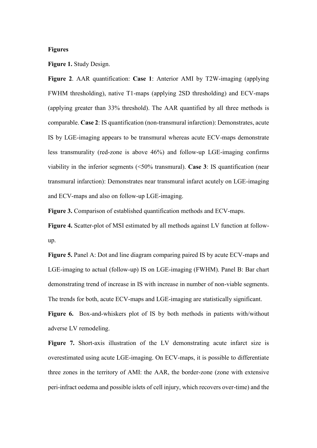### **Figures**

**Figure 1.** Study Design.

**Figure 2**. AAR quantification: **Case 1**: Anterior AMI by T2W-imaging (applying FWHM thresholding), native T1-maps (applying 2SD thresholding) and ECV-maps (applying greater than 33% threshold). The AAR quantified by all three methods is comparable. **Case 2**: IS quantification (non-transmural infarction): Demonstrates, acute IS by LGE-imaging appears to be transmural whereas acute ECV-maps demonstrate less transmurality (red-zone is above 46%) and follow-up LGE-imaging confirms viability in the inferior segments (<50% transmural). **Case 3**: IS quantification (near transmural infarction): Demonstrates near transmural infarct acutely on LGE-imaging and ECV-maps and also on follow-up LGE-imaging.

**Figure 3.** Comparison of established quantification methods and ECV-maps.

**Figure 4.** Scatter-plot of MSI estimated by all methods against LV function at followup.

**Figure 5.** Panel A: Dot and line diagram comparing paired IS by acute ECV-maps and LGE-imaging to actual (follow-up) IS on LGE-imaging (FWHM). Panel B: Bar chart demonstrating trend of increase in IS with increase in number of non-viable segments. The trends for both, acute ECV-maps and LGE-imaging are statistically significant.

**Figure 6.** Box-and-whiskers plot of IS by both methods in patients with/without adverse LV remodeling.

**Figure 7.** Short-axis illustration of the LV demonstrating acute infarct size is overestimated using acute LGE-imaging. On ECV-maps, it is possible to differentiate three zones in the territory of AMI: the AAR, the border-zone (zone with extensive peri-infract oedema and possible islets of cell injury, which recovers over-time) and the